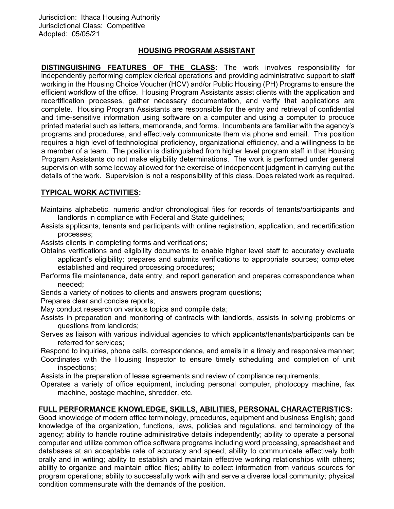# HOUSING PROGRAM ASSISTANT

DISTINGUISHING FEATURES OF THE CLASS: The work involves responsibility for independently performing complex clerical operations and providing administrative support to staff working in the Housing Choice Voucher (HCV) and/or Public Housing (PH) Programs to ensure the efficient workflow of the office. Housing Program Assistants assist clients with the application and recertification processes, gather necessary documentation, and verify that applications are complete. Housing Program Assistants are responsible for the entry and retrieval of confidential and time-sensitive information using software on a computer and using a computer to produce printed material such as letters, memoranda, and forms. Incumbents are familiar with the agency's programs and procedures, and effectively communicate them via phone and email. This position requires a high level of technological proficiency, organizational efficiency, and a willingness to be a member of a team. The position is distinguished from higher level program staff in that Housing Program Assistants do not make eligibility determinations. The work is performed under general supervision with some leeway allowed for the exercise of independent judgment in carrying out the details of the work. Supervision is not a responsibility of this class. Does related work as required.

# TYPICAL WORK ACTIVITIES:

- Maintains alphabetic, numeric and/or chronological files for records of tenants/participants and landlords in compliance with Federal and State guidelines;
- Assists applicants, tenants and participants with online registration, application, and recertification processes;
- Assists clients in completing forms and verifications;
- Obtains verifications and eligibility documents to enable higher level staff to accurately evaluate applicant's eligibility; prepares and submits verifications to appropriate sources; completes established and required processing procedures;
- Performs file maintenance, data entry, and report generation and prepares correspondence when needed;
- Sends a variety of notices to clients and answers program questions;
- Prepares clear and concise reports;
- May conduct research on various topics and compile data;
- Assists in preparation and monitoring of contracts with landlords, assists in solving problems or questions from landlords;
- Serves as liaison with various individual agencies to which applicants/tenants/participants can be referred for services;
- Respond to inquiries, phone calls, correspondence, and emails in a timely and responsive manner;
- Coordinates with the Housing Inspector to ensure timely scheduling and completion of unit inspections;
- Assists in the preparation of lease agreements and review of compliance requirements;
- Operates a variety of office equipment, including personal computer, photocopy machine, fax machine, postage machine, shredder, etc.

## FULL PERFORMANCE KNOWLEDGE, SKILLS, ABILITIES, PERSONAL CHARACTERISTICS:

Good knowledge of modern office terminology, procedures, equipment and business English; good knowledge of the organization, functions, laws, policies and regulations, and terminology of the agency; ability to handle routine administrative details independently; ability to operate a personal computer and utilize common office software programs including word processing, spreadsheet and databases at an acceptable rate of accuracy and speed; ability to communicate effectively both orally and in writing; ability to establish and maintain effective working relationships with others; ability to organize and maintain office files; ability to collect information from various sources for program operations; ability to successfully work with and serve a diverse local community; physical condition commensurate with the demands of the position.